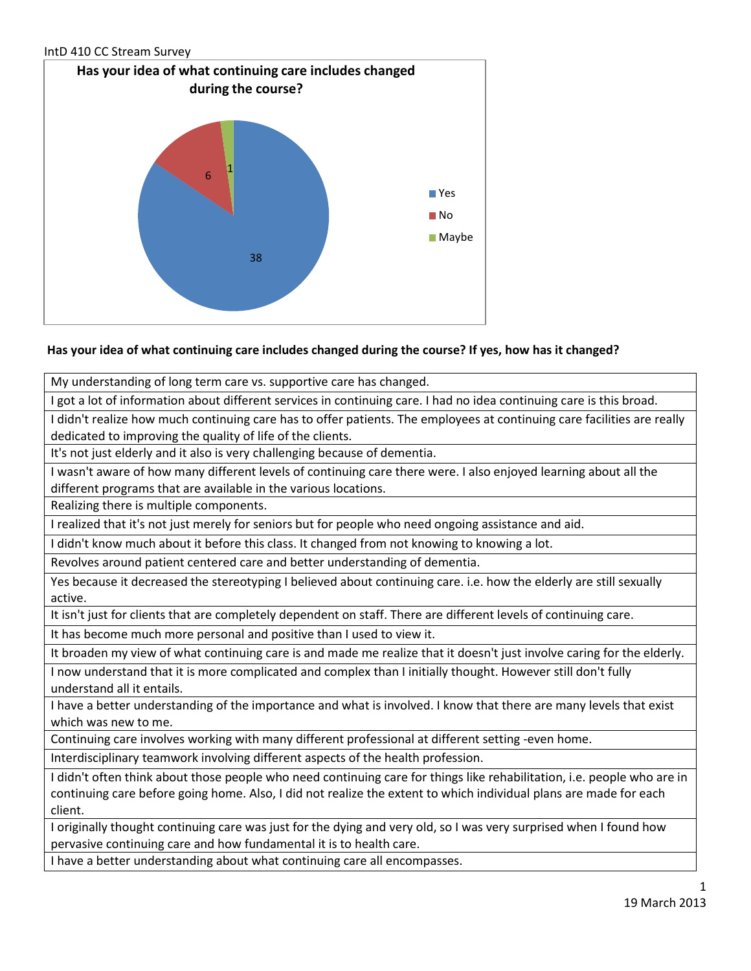

# **Has your idea of what continuing care includes changed during the course? If yes, how has it changed?**

My understanding of long term care vs. supportive care has changed.

I got a lot of information about different services in continuing care. I had no idea continuing care is this broad.

I didn't realize how much continuing care has to offer patients. The employees at continuing care facilities are really dedicated to improving the quality of life of the clients.

It's not just elderly and it also is very challenging because of dementia.

I wasn't aware of how many different levels of continuing care there were. I also enjoyed learning about all the different programs that are available in the various locations.

Realizing there is multiple components.

I realized that it's not just merely for seniors but for people who need ongoing assistance and aid.

I didn't know much about it before this class. It changed from not knowing to knowing a lot.

Revolves around patient centered care and better understanding of dementia.

Yes because it decreased the stereotyping I believed about continuing care. i.e. how the elderly are still sexually active.

It isn't just for clients that are completely dependent on staff. There are different levels of continuing care.

It has become much more personal and positive than I used to view it.

It broaden my view of what continuing care is and made me realize that it doesn't just involve caring for the elderly.

I now understand that it is more complicated and complex than I initially thought. However still don't fully understand all it entails.

I have a better understanding of the importance and what is involved. I know that there are many levels that exist which was new to me.

Continuing care involves working with many different professional at different setting -even home.

Interdisciplinary teamwork involving different aspects of the health profession.

I didn't often think about those people who need continuing care for things like rehabilitation, i.e. people who are in continuing care before going home. Also, I did not realize the extent to which individual plans are made for each client.

I originally thought continuing care was just for the dying and very old, so I was very surprised when I found how pervasive continuing care and how fundamental it is to health care.

I have a better understanding about what continuing care all encompasses.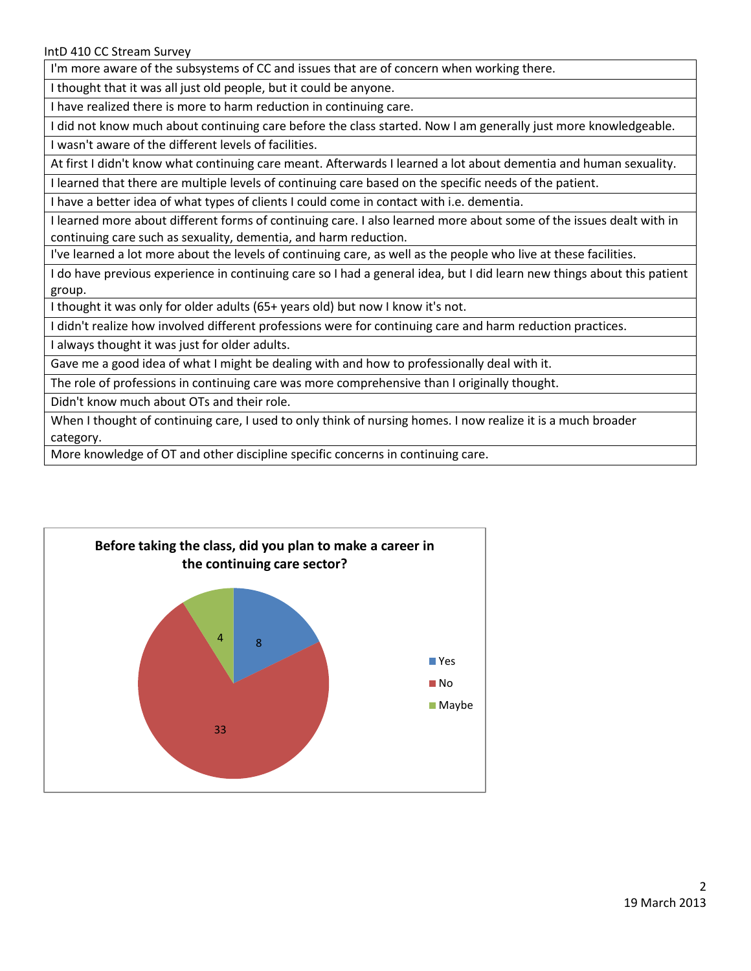I'm more aware of the subsystems of CC and issues that are of concern when working there.

I thought that it was all just old people, but it could be anyone.

I have realized there is more to harm reduction in continuing care.

I did not know much about continuing care before the class started. Now I am generally just more knowledgeable. I wasn't aware of the different levels of facilities.

At first I didn't know what continuing care meant. Afterwards I learned a lot about dementia and human sexuality.

I learned that there are multiple levels of continuing care based on the specific needs of the patient.

I have a better idea of what types of clients I could come in contact with i.e. dementia.

I learned more about different forms of continuing care. I also learned more about some of the issues dealt with in continuing care such as sexuality, dementia, and harm reduction.

I've learned a lot more about the levels of continuing care, as well as the people who live at these facilities.

I do have previous experience in continuing care so I had a general idea, but I did learn new things about this patient group.

I thought it was only for older adults (65+ years old) but now I know it's not.

I didn't realize how involved different professions were for continuing care and harm reduction practices.

I always thought it was just for older adults.

Gave me a good idea of what I might be dealing with and how to professionally deal with it.

The role of professions in continuing care was more comprehensive than I originally thought.

Didn't know much about OTs and their role.

When I thought of continuing care, I used to only think of nursing homes. I now realize it is a much broader category.

More knowledge of OT and other discipline specific concerns in continuing care.

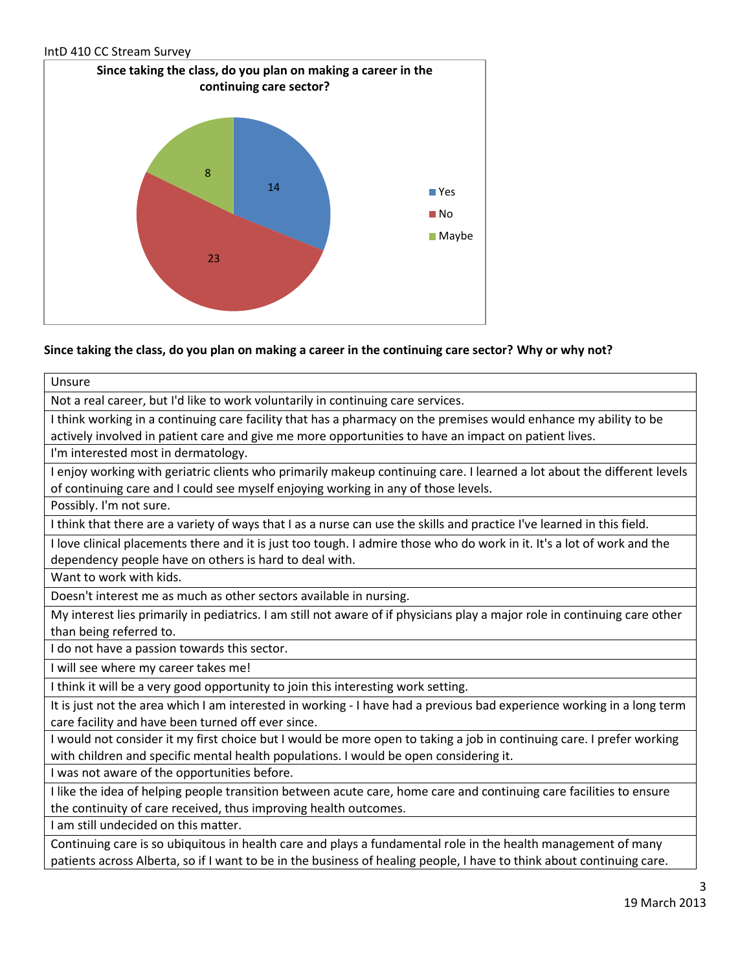

# **Since taking the class, do you plan on making a career in the continuing care sector? Why or why not?**

Unsure Not a real career, but I'd like to work voluntarily in continuing care services. I think working in a continuing care facility that has a pharmacy on the premises would enhance my ability to be actively involved in patient care and give me more opportunities to have an impact on patient lives. I'm interested most in dermatology. I enjoy working with geriatric clients who primarily makeup continuing care. I learned a lot about the different levels of continuing care and I could see myself enjoying working in any of those levels. Possibly. I'm not sure. I think that there are a variety of ways that I as a nurse can use the skills and practice I've learned in this field. I love clinical placements there and it is just too tough. I admire those who do work in it. It's a lot of work and the dependency people have on others is hard to deal with. Want to work with kids. Doesn't interest me as much as other sectors available in nursing. My interest lies primarily in pediatrics. I am still not aware of if physicians play a major role in continuing care other than being referred to. I do not have a passion towards this sector. I will see where my career takes me! I think it will be a very good opportunity to join this interesting work setting. It is just not the area which I am interested in working - I have had a previous bad experience working in a long term care facility and have been turned off ever since. I would not consider it my first choice but I would be more open to taking a job in continuing care. I prefer working with children and specific mental health populations. I would be open considering it. I was not aware of the opportunities before. I like the idea of helping people transition between acute care, home care and continuing care facilities to ensure the continuity of care received, thus improving health outcomes. I am still undecided on this matter. Continuing care is so ubiquitous in health care and plays a fundamental role in the health management of many patients across Alberta, so if I want to be in the business of healing people, I have to think about continuing care.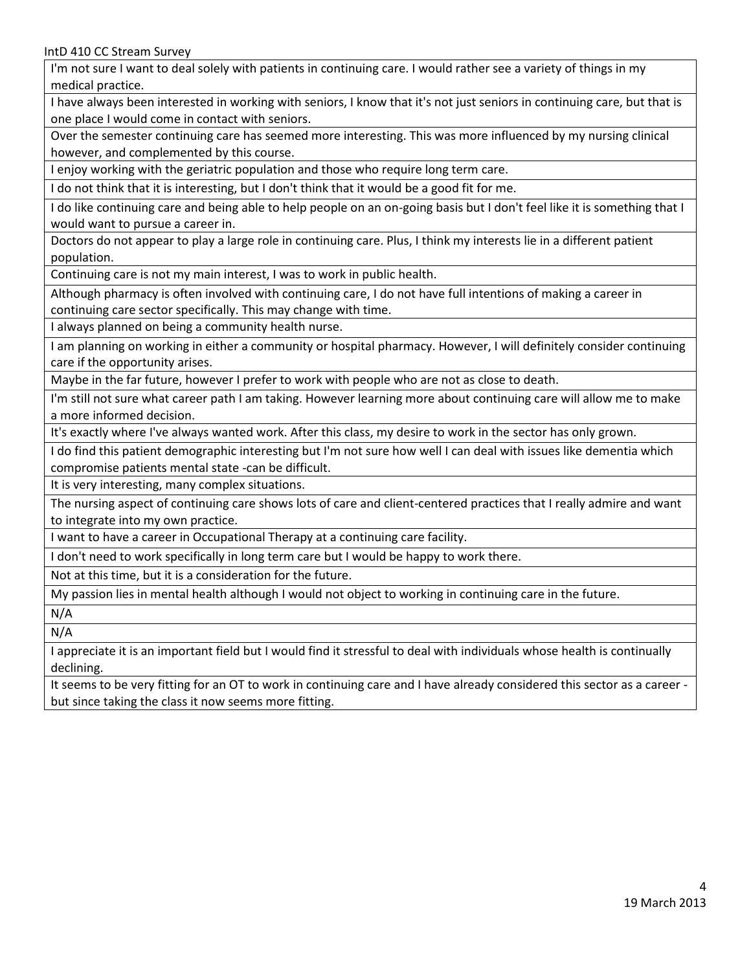I'm not sure I want to deal solely with patients in continuing care. I would rather see a variety of things in my medical practice.

I have always been interested in working with seniors, I know that it's not just seniors in continuing care, but that is one place I would come in contact with seniors.

Over the semester continuing care has seemed more interesting. This was more influenced by my nursing clinical however, and complemented by this course.

I enjoy working with the geriatric population and those who require long term care.

I do not think that it is interesting, but I don't think that it would be a good fit for me.

I do like continuing care and being able to help people on an on-going basis but I don't feel like it is something that I would want to pursue a career in.

Doctors do not appear to play a large role in continuing care. Plus, I think my interests lie in a different patient population.

Continuing care is not my main interest, I was to work in public health.

Although pharmacy is often involved with continuing care, I do not have full intentions of making a career in continuing care sector specifically. This may change with time.

I always planned on being a community health nurse.

I am planning on working in either a community or hospital pharmacy. However, I will definitely consider continuing care if the opportunity arises.

Maybe in the far future, however I prefer to work with people who are not as close to death.

I'm still not sure what career path I am taking. However learning more about continuing care will allow me to make a more informed decision.

It's exactly where I've always wanted work. After this class, my desire to work in the sector has only grown.

I do find this patient demographic interesting but I'm not sure how well I can deal with issues like dementia which compromise patients mental state -can be difficult.

It is very interesting, many complex situations.

The nursing aspect of continuing care shows lots of care and client-centered practices that I really admire and want to integrate into my own practice.

I want to have a career in Occupational Therapy at a continuing care facility.

I don't need to work specifically in long term care but I would be happy to work there.

Not at this time, but it is a consideration for the future.

My passion lies in mental health although I would not object to working in continuing care in the future.

N/A

N/A

I appreciate it is an important field but I would find it stressful to deal with individuals whose health is continually declining.

It seems to be very fitting for an OT to work in continuing care and I have already considered this sector as a career but since taking the class it now seems more fitting.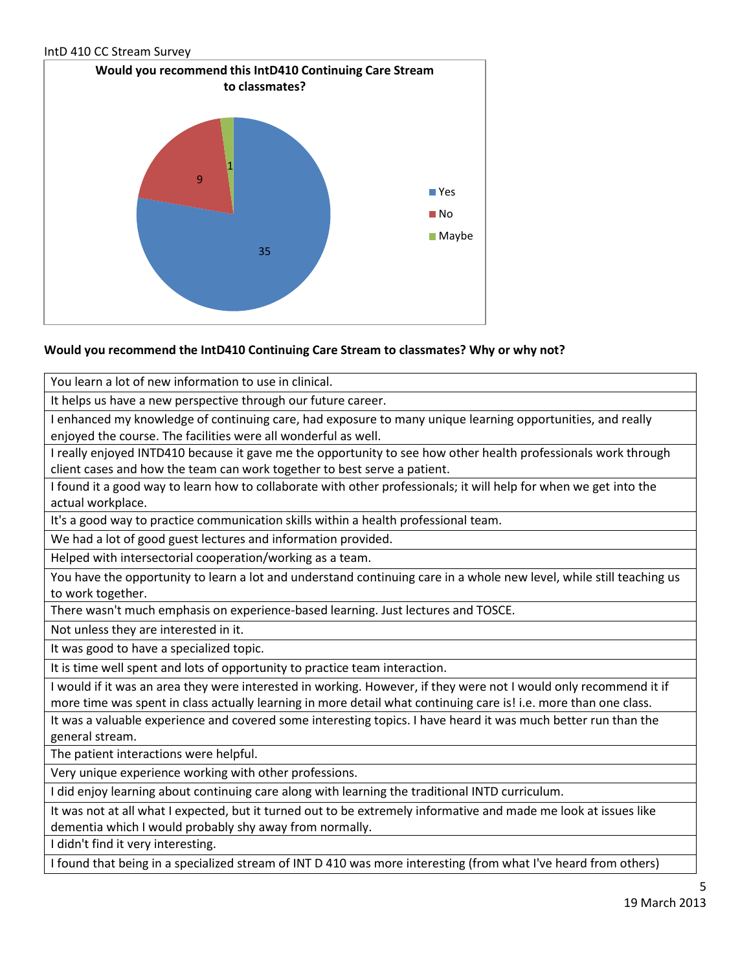

# **Would you recommend the IntD410 Continuing Care Stream to classmates? Why or why not?**

You learn a lot of new information to use in clinical.

It helps us have a new perspective through our future career.

I enhanced my knowledge of continuing care, had exposure to many unique learning opportunities, and really enjoyed the course. The facilities were all wonderful as well.

I really enjoyed INTD410 because it gave me the opportunity to see how other health professionals work through client cases and how the team can work together to best serve a patient.

I found it a good way to learn how to collaborate with other professionals; it will help for when we get into the actual workplace.

It's a good way to practice communication skills within a health professional team.

We had a lot of good guest lectures and information provided.

Helped with intersectorial cooperation/working as a team.

You have the opportunity to learn a lot and understand continuing care in a whole new level, while still teaching us to work together.

There wasn't much emphasis on experience-based learning. Just lectures and TOSCE.

Not unless they are interested in it.

It was good to have a specialized topic.

It is time well spent and lots of opportunity to practice team interaction.

I would if it was an area they were interested in working. However, if they were not I would only recommend it if more time was spent in class actually learning in more detail what continuing care is! i.e. more than one class.

It was a valuable experience and covered some interesting topics. I have heard it was much better run than the general stream.

The patient interactions were helpful.

Very unique experience working with other professions.

I did enjoy learning about continuing care along with learning the traditional INTD curriculum.

It was not at all what I expected, but it turned out to be extremely informative and made me look at issues like dementia which I would probably shy away from normally.

I didn't find it very interesting.

I found that being in a specialized stream of INT D 410 was more interesting (from what I've heard from others)